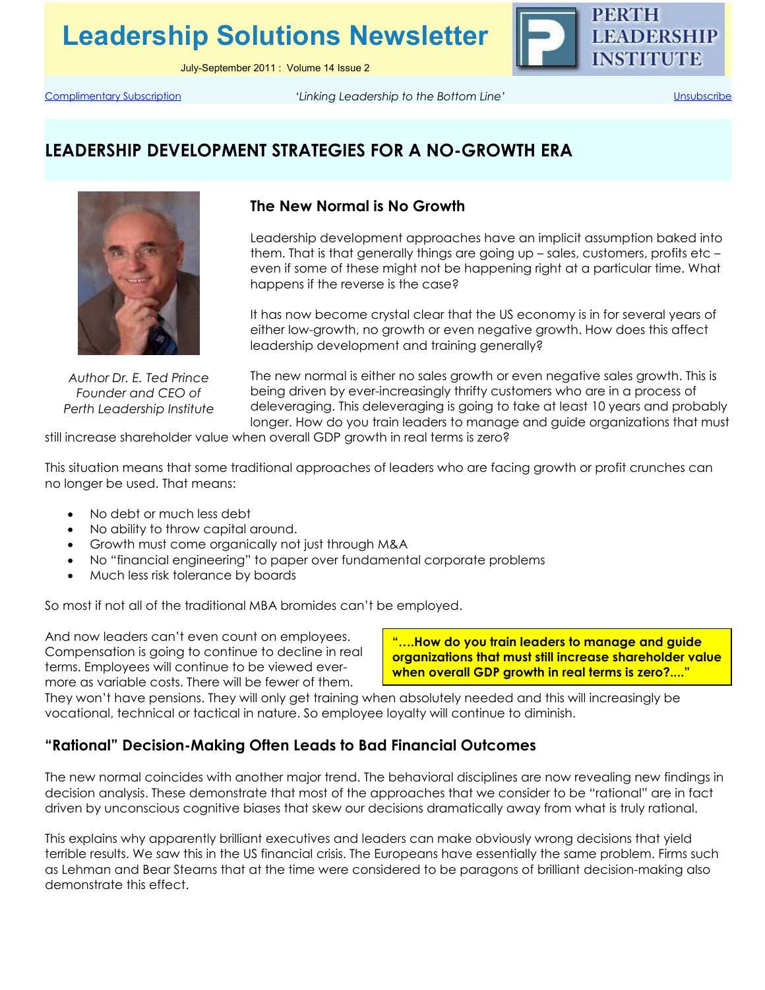**Leadership Solutions Newsletter**

July-September 2011 : Volume 14 Issue 2



Complimentary Subscription *'Linking Leadership to the Bottom Line'* Unsubscribe

# **LEADERSHIP DEVELOPMENT STRATEGIES FOR A NO-GROWTH ERA**



*Author Dr. E. Ted Prince Founder and CEO of Perth Leadership Institute* 

## **The New Normal is No Growth**

Leadership development approaches have an implicit assumption baked into them. That is that generally things are going up – sales, customers, profits etc – even if some of these might not be happening right at a particular time. What happens if the reverse is the case?

It has now become crystal clear that the US economy is in for several years of either low-growth, no growth or even negative growth. How does this affect leadership development and training generally?

The new normal is either no sales growth or even negative sales growth. This is being driven by ever-increasingly thrifty customers who are in a process of deleveraging. This deleveraging is going to take at least 10 years and probably longer. How do you train leaders to manage and guide organizations that must

still increase shareholder value when overall GDP growth in real terms is zero?

This situation means that some traditional approaches of leaders who are facing growth or profit crunches can no longer be used. That means:

- No debt or much less debt
- No ability to throw capital around.
- Growth must come organically not just through M&A
- No "financial engineering" to paper over fundamental corporate problems
- Much less risk tolerance by boards

So most if not all of the traditional MBA bromides can't be employed.

And now leaders can't even count on employees. Compensation is going to continue to decline in real terms. Employees will continue to be viewed evermore as variable costs. There will be fewer of them.

**"….How do you train leaders to manage and guide organizations that must still increase shareholder value when overall GDP growth in real terms is zero?...."**

They won't have pensions. They will only get training when absolutely needed and this will increasingly be vocational, technical or tactical in nature. So employee loyalty will continue to diminish.

#### **"Rational" Decision-Making Often Leads to Bad Financial Outcomes**

The new normal coincides with another major trend. The behavioral disciplines are now revealing new findings in decision analysis. These demonstrate that most of the approaches that we consider to be "rational" are in fact driven by unconscious cognitive biases that skew our decisions dramatically away from what is truly rational.

This explains why apparently brilliant executives and leaders can make obviously wrong decisions that yield terrible results. We saw this in the US financial crisis. The Europeans have essentially the same problem. Firms such as Lehman and Bear Stearns that at the time were considered to be paragons of brilliant decision-making also demonstrate this effect.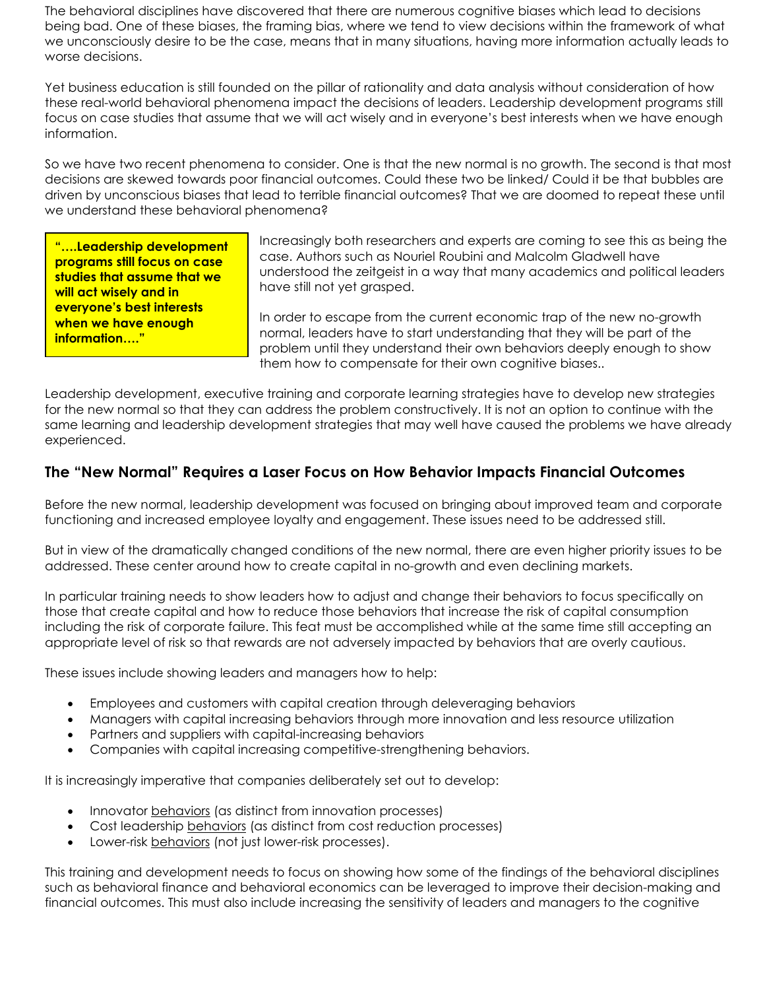The behavioral disciplines have discovered that there are numerous cognitive biases which lead to decisions being bad. One of these biases, the framing bias, where we tend to view decisions within the framework of what we unconsciously desire to be the case, means that in many situations, having more information actually leads to worse decisions.

Yet business education is still founded on the pillar of rationality and data analysis without consideration of how these real-world behavioral phenomena impact the decisions of leaders. Leadership development programs still focus on case studies that assume that we will act wisely and in everyone's best interests when we have enough information.

So we have two recent phenomena to consider. One is that the new normal is no growth. The second is that most decisions are skewed towards poor financial outcomes. Could these two be linked/ Could it be that bubbles are driven by unconscious biases that lead to terrible financial outcomes? That we are doomed to repeat these until we understand these behavioral phenomena?

**"….Leadership development programs still focus on case studies that assume that we will act wisely and in everyone's best interests when we have enough information…."** 

Increasingly both researchers and experts are coming to see this as being the case. Authors such as Nouriel Roubini and Malcolm Gladwell have understood the zeitgeist in a way that many academics and political leaders have still not yet grasped.

In order to escape from the current economic trap of the new no-growth normal, leaders have to start understanding that they will be part of the problem until they understand their own behaviors deeply enough to show them how to compensate for their own cognitive biases..

Leadership development, executive training and corporate learning strategies have to develop new strategies for the new normal so that they can address the problem constructively. It is not an option to continue with the same learning and leadership development strategies that may well have caused the problems we have already experienced.

## **The "New Normal" Requires a Laser Focus on How Behavior Impacts Financial Outcomes**

Before the new normal, leadership development was focused on bringing about improved team and corporate functioning and increased employee loyalty and engagement. These issues need to be addressed still.

But in view of the dramatically changed conditions of the new normal, there are even higher priority issues to be addressed. These center around how to create capital in no-growth and even declining markets.

In particular training needs to show leaders how to adjust and change their behaviors to focus specifically on those that create capital and how to reduce those behaviors that increase the risk of capital consumption including the risk of corporate failure. This feat must be accomplished while at the same time still accepting an appropriate level of risk so that rewards are not adversely impacted by behaviors that are overly cautious.

These issues include showing leaders and managers how to help:

- Employees and customers with capital creation through deleveraging behaviors
- Managers with capital increasing behaviors through more innovation and less resource utilization
- Partners and suppliers with capital-increasing behaviors
- Companies with capital increasing competitive-strengthening behaviors.

It is increasingly imperative that companies deliberately set out to develop:

- Innovator behaviors (as distinct from innovation processes)
- Cost leadership behaviors (as distinct from cost reduction processes)
- Lower-risk behaviors (not just lower-risk processes).

This training and development needs to focus on showing how some of the findings of the behavioral disciplines such as behavioral finance and behavioral economics can be leveraged to improve their decision-making and financial outcomes. This must also include increasing the sensitivity of leaders and managers to the cognitive